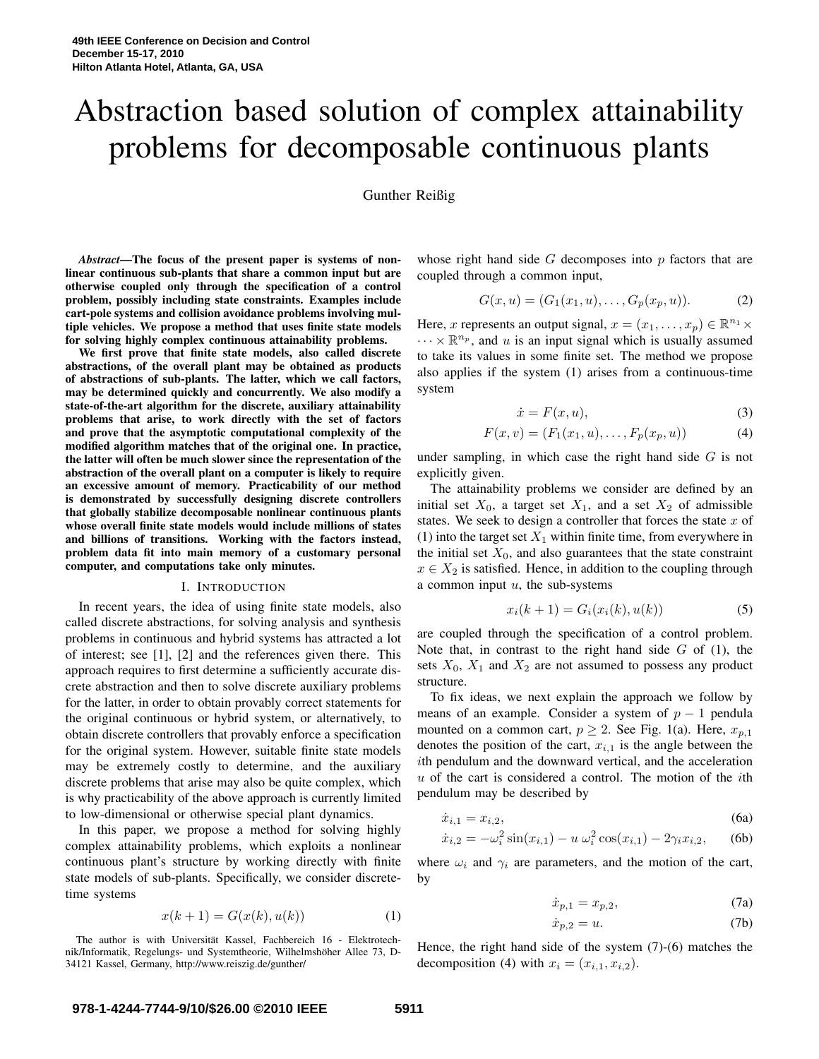# Abstraction based solution of complex attainability problems for decomposable continuous plants

# Gunther Reißig

*Abstract***—The focus of the present paper is systems of nonlinear continuous sub-plants that share a common input but are otherwise coupled only through the specification of a control problem, possibly including state constraints. Examples include cart-pole systems and collision avoidance problems involving multiple vehicles. We propose a method that uses finite state models for solving highly complex continuous attainability problems.**

**We first prove that finite state models, also called discrete abstractions, of the overall plant may be obtained as products of abstractions of sub-plants. The latter, which we call factors, may be determined quickly and concurrently. We also modify a state-of-the-art algorithm for the discrete, auxiliary attainability problems that arise, to work directly with the set of factors and prove that the asymptotic computational complexity of the modified algorithm matches that of the original one. In practice, the latter will often be much slower since the representation of the abstraction of the overall plant on a computer is likely to require an excessive amount of memory. Practicability of our method is demonstrated by successfully designing discrete controllers that globally stabilize decomposable nonlinear continuous plants whose overall finite state models would include millions of states and billions of transitions. Working with the factors instead, problem data fit into main memory of a customary personal computer, and computations take only minutes.**

#### I. INTRODUCTION

In recent years, the idea of using finite state models, also called discrete abstractions, for solving analysis and synthesis problems in continuous and hybrid systems has attracted a lot of interest; see [1], [2] and the references given there. This approach requires to first determine a sufficiently accurate discrete abstraction and then to solve discrete auxiliary problems for the latter, in order to obtain provably correct statements for the original continuous or hybrid system, or alternatively, to obtain discrete controllers that provably enforce a specification for the original system. However, suitable finite state models may be extremely costly to determine, and the auxiliary discrete problems that arise may also be quite complex, which is why practicability of the above approach is currently limited to low-dimensional or otherwise special plant dynamics.

In this paper, we propose a method for solving highly complex attainability problems, which exploits a nonlinear continuous plant's structure by working directly with finite state models of sub-plants. Specifically, we consider discretetime systems

$$
x(k+1) = G(x(k), u(k))
$$
 (1)

The author is with Universität Kassel, Fachbereich 16 - Elektrotechnik/Informatik, Regelungs- und Systemtheorie, Wilhelmshöher Allee 73, D-34121 Kassel, Germany, http://www.reiszig.de/gunther/

whose right hand side  $G$  decomposes into  $p$  factors that are coupled through a common input,

$$
G(x, u) = (G_1(x_1, u), \dots, G_p(x_p, u)).
$$
 (2)

Here, x represents an output signal,  $x = (x_1, \dots, x_p) \in \mathbb{R}^{n_1} \times$  $\cdots \times \mathbb{R}^{n_p}$ , and u is an input signal which is usually assumed to take its values in some finite set. The method we propose also applies if the system (1) arises from a continuous-time system

$$
\dot{x} = F(x, u),\tag{3}
$$

$$
F(x, v) = (F_1(x_1, u), \dots, F_p(x_p, u))
$$
 (4)

under sampling, in which case the right hand side  $G$  is not explicitly given.

The attainability problems we consider are defined by an initial set  $X_0$ , a target set  $X_1$ , and a set  $X_2$  of admissible states. We seek to design a controller that forces the state  $x$  of (1) into the target set  $X_1$  within finite time, from everywhere in the initial set  $X_0$ , and also guarantees that the state constraint  $x \in X_2$  is satisfied. Hence, in addition to the coupling through a common input  $u$ , the sub-systems

$$
x_i(k+1) = G_i(x_i(k), u(k))
$$
 (5)

are coupled through the specification of a control problem. Note that, in contrast to the right hand side  $G$  of  $(1)$ , the sets  $X_0$ ,  $X_1$  and  $X_2$  are not assumed to possess any product structure.

To fix ideas, we next explain the approach we follow by means of an example. Consider a system of  $p - 1$  pendula mounted on a common cart,  $p \ge 2$ . See Fig. 1(a). Here,  $x_{p,1}$ denotes the position of the cart,  $x_{i,1}$  is the angle between the ith pendulum and the downward vertical, and the acceleration  $u$  of the cart is considered a control. The motion of the *i*th pendulum may be described by

$$
\dot{x}_{i,1} = x_{i,2},\tag{6a}
$$

$$
\dot{x}_{i,2} = -\omega_i^2 \sin(x_{i,1}) - u \,\omega_i^2 \cos(x_{i,1}) - 2\gamma_i x_{i,2},\qquad(6b)
$$

where  $\omega_i$  and  $\gamma_i$  are parameters, and the motion of the cart, by

$$
\dot{x}_{p,1} = x_{p,2},\tag{7a}
$$

$$
\dot{x}_{p,2} = u.\t\t(7b)
$$

Hence, the right hand side of the system (7)-(6) matches the decomposition (4) with  $x_i = (x_{i,1}, x_{i,2})$ .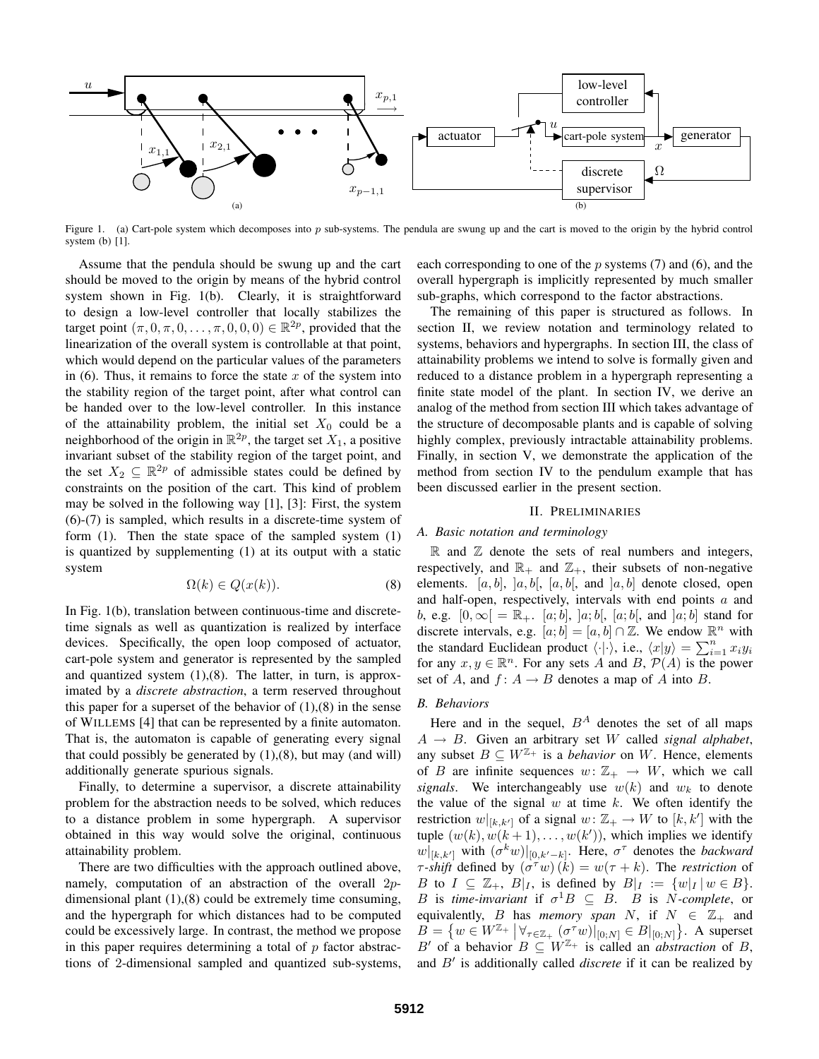

Figure 1. (a) Cart-pole system which decomposes into  $p$  sub-systems. The pendula are swung up and the cart is moved to the origin by the hybrid control system (b) [1].

Assume that the pendula should be swung up and the cart should be moved to the origin by means of the hybrid control system shown in Fig. 1(b). Clearly, it is straightforward to design a low-level controller that locally stabilizes the target point  $(\pi, 0, \pi, 0, \ldots, \pi, 0, 0, 0) \in \mathbb{R}^{2p}$ , provided that the linearization of the overall system is controllable at that point, which would depend on the particular values of the parameters in  $(6)$ . Thus, it remains to force the state x of the system into the stability region of the target point, after what control can be handed over to the low-level controller. In this instance of the attainability problem, the initial set  $X_0$  could be a neighborhood of the origin in  $\mathbb{R}^{2p}$ , the target set  $X_1$ , a positive invariant subset of the stability region of the target point, and the set  $X_2 \subseteq \mathbb{R}^{2p}$  of admissible states could be defined by constraints on the position of the cart. This kind of problem may be solved in the following way [1], [3]: First, the system (6)-(7) is sampled, which results in a discrete-time system of form (1). Then the state space of the sampled system (1) is quantized by supplementing (1) at its output with a static system

$$
\Omega(k) \in Q(x(k)).\tag{8}
$$

In Fig. 1(b), translation between continuous-time and discretetime signals as well as quantization is realized by interface devices. Specifically, the open loop composed of actuator, cart-pole system and generator is represented by the sampled and quantized system  $(1),(8)$ . The latter, in turn, is approximated by a *discrete abstraction*, a term reserved throughout this paper for a superset of the behavior of  $(1),(8)$  in the sense of WILLEMS [4] that can be represented by a finite automaton. That is, the automaton is capable of generating every signal that could possibly be generated by  $(1),(8)$ , but may (and will) additionally generate spurious signals.

Finally, to determine a supervisor, a discrete attainability problem for the abstraction needs to be solved, which reduces to a distance problem in some hypergraph. A supervisor obtained in this way would solve the original, continuous attainability problem.

There are two difficulties with the approach outlined above, namely, computation of an abstraction of the overall 2pdimensional plant (1),(8) could be extremely time consuming, and the hypergraph for which distances had to be computed could be excessively large. In contrast, the method we propose in this paper requires determining a total of  $p$  factor abstractions of 2-dimensional sampled and quantized sub-systems, each corresponding to one of the  $p$  systems (7) and (6), and the overall hypergraph is implicitly represented by much smaller sub-graphs, which correspond to the factor abstractions.

The remaining of this paper is structured as follows. In section II, we review notation and terminology related to systems, behaviors and hypergraphs. In section III, the class of attainability problems we intend to solve is formally given and reduced to a distance problem in a hypergraph representing a finite state model of the plant. In section IV, we derive an analog of the method from section III which takes advantage of the structure of decomposable plants and is capable of solving highly complex, previously intractable attainability problems. Finally, in section V, we demonstrate the application of the method from section IV to the pendulum example that has been discussed earlier in the present section.

#### II. PRELIMINARIES

## *A. Basic notation and terminology*

 $\mathbb R$  and  $\mathbb Z$  denote the sets of real numbers and integers, respectively, and  $\mathbb{R}_+$  and  $\mathbb{Z}_+$ , their subsets of non-negative elements. [a, b], [a, b[, [a, b], and  $[a, b]$  denote closed, open and half-open, respectively, intervals with end points a and *b*, e.g.  $[0, ∞[ = ℝ<sub>+</sub>$ . [a; *b*], ]a; *b*[, [a; *b*[, and ]a; *b*] stand for discrete intervals, e.g.  $[a, b] = [a, b] \cap \mathbb{Z}$ . We endow  $\mathbb{R}^n$  with the standard Euclidean product  $\langle \cdot | \cdot \rangle$ , i.e.,  $\langle x | y \rangle = \sum_{i=1}^{n} x_i y_i$ for any  $x, y \in \mathbb{R}^n$ . For any sets A and B,  $\mathcal{P}(A)$  is the power set of A, and  $f: A \rightarrow B$  denotes a map of A into B.

# *B. Behaviors*

Here and in the sequel,  $B^A$  denotes the set of all maps  $A \rightarrow B$ . Given an arbitrary set W called *signal alphabet*, any subset  $B \subseteq W^{\mathbb{Z}_+}$  is a *behavior* on W. Hence, elements of B are infinite sequences  $w: \mathbb{Z}_+ \to W$ , which we call *signals*. We interchangeably use  $w(k)$  and  $w_k$  to denote the value of the signal  $w$  at time  $k$ . We often identify the restriction  $w|_{[k,k']}$  of a signal  $w: \mathbb{Z}_+ \to W$  to  $[k, k']$  with the tuple  $(w(k), w(k+1), \ldots, w(k'))$ , which implies we identify  $\|w\|_{[k,k']}$  with  $(\sigma^k w)|_{[0,k'-k]}$ . Here,  $\sigma^{\tau}$  denotes the *backward*  $\tau$ -*shift* defined by  $(\sigma^{\tau}w)(\dot{k}) = w(\tau + k)$ . The *restriction* of B to  $I \subseteq \mathbb{Z}_+$ ,  $B|_I$ , is defined by  $B|_I := \{w|_I | w \in B\}.$ B is *time-invariant* if  $\sigma^1 B \subseteq B$ . B is N-complete, or equivalently, *B* has *memory span* N, if  $N \in \mathbb{Z}_+$  and  $B = \{ w \in W^{\mathbb{Z}_+} \mid \forall_{\tau \in \mathbb{Z}_+} \left( \sigma^\tau w \right) |_{[0;N]} \in B|_{[0;N]} \}.$  A superset B' of a behavior  $B \subseteq W^{\mathbb{Z}_+}$  is called an *abstraction* of B, and B′ is additionally called *discrete* if it can be realized by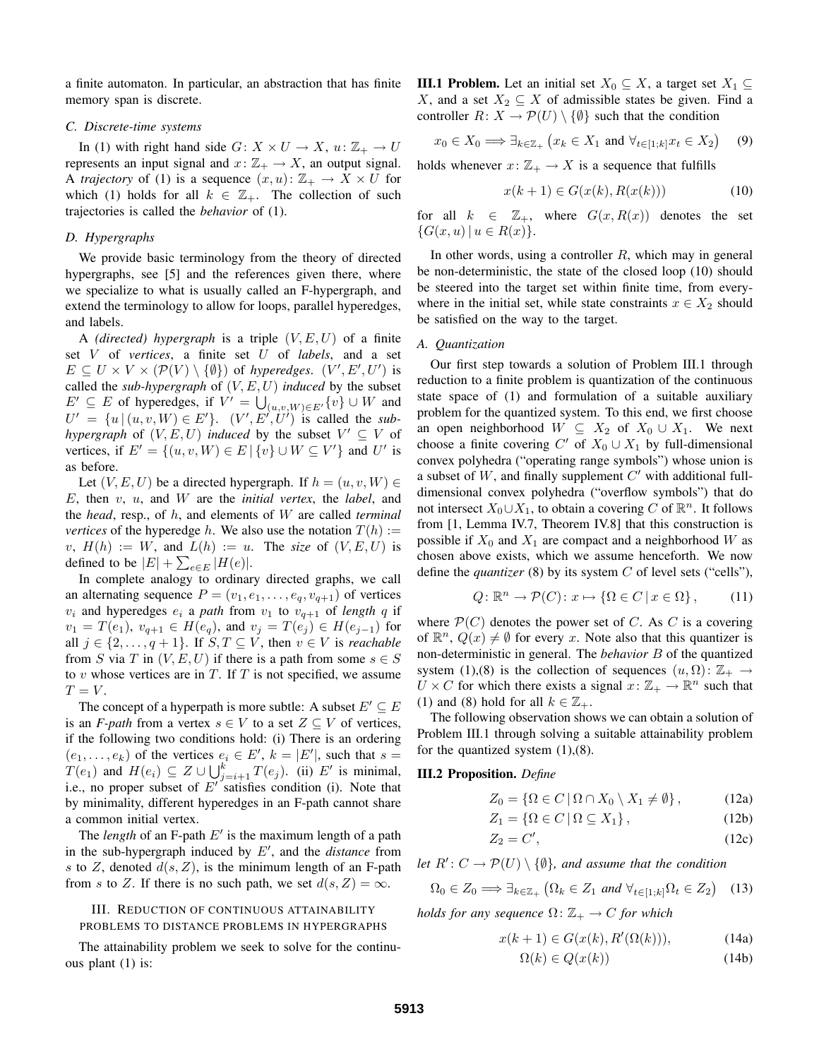a finite automaton. In particular, an abstraction that has finite memory span is discrete.

#### *C. Discrete-time systems*

In (1) with right hand side  $G: X \times U \rightarrow X$ ,  $u: \mathbb{Z}_+ \rightarrow U$ represents an input signal and  $x: \mathbb{Z}_+ \to X$ , an output signal. A *trajectory* of (1) is a sequence  $(x, u): \mathbb{Z}_+ \to X \times U$  for which (1) holds for all  $k \in \mathbb{Z}_+$ . The collection of such trajectories is called the *behavior* of (1).

## *D. Hypergraphs*

We provide basic terminology from the theory of directed hypergraphs, see [5] and the references given there, where we specialize to what is usually called an F-hypergraph, and extend the terminology to allow for loops, parallel hyperedges, and labels.

A *(directed) hypergraph* is a triple  $(V, E, U)$  of a finite set V of *vertices*, a finite set U of *labels*, and a set  $E \subseteq U \times V \times (\mathcal{P}(V) \setminus \{\emptyset\})$  of *hyperedges.*  $(V', E', U')$  is called the *sub-hypergraph* of  $(V, E, U)$  *induced* by the subset  $E' \subseteq E$  of hyperedges, if  $V' = \bigcup_{(u,v,W)\in E'} \{v\} \cup W$  and  $U' = \{u \mid (u, v, W) \in E'\}.$  (V', E', U') is called the *subhypergraph* of  $(V, E, U)$  *induced* by the subset  $V' \subseteq V$  of vertices, if  $E' = \{(u, v, W) \in E \mid \{v\} \cup W \subseteq V'\}$  and U' is as before.

Let  $(V, E, U)$  be a directed hypergraph. If  $h = (u, v, W) \in$ E, then v, u, and W are the *initial vertex*, the *label*, and the *head*, resp., of h, and elements of W are called *terminal vertices* of the hyperedge h. We also use the notation  $T(h)$  :=  $v, H(h) := W$ , and  $L(h) := u$ . The *size* of  $(V, E, U)$  is defined to be  $|E| + \sum_{e \in E} |H(e)|$ .

In complete analogy to ordinary directed graphs, we call an alternating sequence  $P = (v_1, e_1, \dots, e_q, v_{q+1})$  of vertices  $v_i$  and hyperedges  $e_i$  a *path* from  $v_1$  to  $v_{q+1}$  of *length* q if  $v_1 = T(e_1), v_{q+1} \in H(e_q),$  and  $v_j = T(e_j) \in H(e_{j-1})$  for all  $j \in \{2, \ldots, q+1\}$ . If  $S, T \subseteq V$ , then  $v \in V$  is *reachable* from S via T in  $(V, E, U)$  if there is a path from some  $s \in S$ to  $v$  whose vertices are in  $T$ . If  $T$  is not specified, we assume  $T = V$ .

The concept of a hyperpath is more subtle: A subset  $E' \subseteq E$ is an *F-path* from a vertex  $s \in V$  to a set  $Z \subseteq V$  of vertices, if the following two conditions hold: (i) There is an ordering  $(e_1, \ldots, e_k)$  of the vertices  $e_i \in E'$ ,  $k = |E'|$ , such that  $s =$  $T(e_1)$  and  $H(e_i) \subseteq Z \cup \bigcup_{j=i+1}^k T(e_j)$ . (ii)  $E'$  is minimal, i.e., no proper subset of  $E'$  satisfies condition (i). Note that by minimality, different hyperedges in an F-path cannot share a common initial vertex.

The *length* of an F-path  $E'$  is the maximum length of a path in the sub-hypergraph induced by E′ , and the *distance* from s to Z, denoted  $d(s, Z)$ , is the minimum length of an F-path from s to Z. If there is no such path, we set  $d(s, Z) = \infty$ .

# III. REDUCTION OF CONTINUOUS ATTAINABILITY PROBLEMS TO DISTANCE PROBLEMS IN HYPERGRAPHS

The attainability problem we seek to solve for the continuous plant (1) is:

**III.1 Problem.** Let an initial set  $X_0 \subseteq X$ , a target set  $X_1 \subseteq$ X, and a set  $X_2 \subseteq X$  of admissible states be given. Find a controller  $R: X \to \mathcal{P}(U) \setminus \{\emptyset\}$  such that the condition

$$
x_0 \in X_0 \Longrightarrow \exists_{k \in \mathbb{Z}_+} \left( x_k \in X_1 \text{ and } \forall_{t \in [1;k]} x_t \in X_2 \right) \quad (9)
$$

holds whenever  $x: \mathbb{Z}_+ \to X$  is a sequence that fulfills

$$
x(k+1) \in G(x(k), R(x(k)))\tag{10}
$$

for all  $k \in \mathbb{Z}_+$ , where  $G(x, R(x))$  denotes the set  $\{G(x, u) | u \in R(x)\}.$ 

In other words, using a controller  $R$ , which may in general be non-deterministic, the state of the closed loop (10) should be steered into the target set within finite time, from everywhere in the initial set, while state constraints  $x \in X_2$  should be satisfied on the way to the target.

#### *A. Quantization*

Our first step towards a solution of Problem III.1 through reduction to a finite problem is quantization of the continuous state space of (1) and formulation of a suitable auxiliary problem for the quantized system. To this end, we first choose an open neighborhood  $W \subseteq X_2$  of  $X_0 \cup X_1$ . We next choose a finite covering  $C'$  of  $X_0 \cup X_1$  by full-dimensional convex polyhedra ("operating range symbols") whose union is a subset of  $W$ , and finally supplement  $C'$  with additional fulldimensional convex polyhedra ("overflow symbols") that do not intersect  $X_0 \cup X_1$ , to obtain a covering C of  $\mathbb{R}^n$ . It follows from [1, Lemma IV.7, Theorem IV.8] that this construction is possible if  $X_0$  and  $X_1$  are compact and a neighborhood W as chosen above exists, which we assume henceforth. We now define the *quantizer* (8) by its system C of level sets ("cells"),

$$
Q: \mathbb{R}^n \to \mathcal{P}(C): x \mapsto \{\Omega \in C \, | \, x \in \Omega\},\qquad(11)
$$

where  $\mathcal{P}(C)$  denotes the power set of C. As C is a covering of  $\mathbb{R}^n$ ,  $Q(x) \neq \emptyset$  for every x. Note also that this quantizer is non-deterministic in general. The *behavior* B of the quantized system (1),(8) is the collection of sequences  $(u, \Omega)$ :  $\mathbb{Z}_+ \to$  $U \times C$  for which there exists a signal  $x: \mathbb{Z}_+ \to \mathbb{R}^n$  such that (1) and (8) hold for all  $k \in \mathbb{Z}_+$ .

The following observation shows we can obtain a solution of Problem III.1 through solving a suitable attainability problem for the quantized system  $(1)$ , $(8)$ .

# **III.2 Proposition.** *Define*

$$
Z_0 = \{ \Omega \in C \, | \, \Omega \cap X_0 \setminus X_1 \neq \emptyset \}, \tag{12a}
$$

$$
Z_1 = \{ \Omega \in C \, | \, \Omega \subseteq X_1 \},\tag{12b}
$$

$$
Z_2 = C',\tag{12c}
$$

*let*  $R' : C \to \mathcal{P}(U) \setminus \{\emptyset\}$ *, and assume that the condition* 

$$
\Omega_0 \in Z_0 \Longrightarrow \exists_{k \in \mathbb{Z}_+} \left( \Omega_k \in Z_1 \text{ and } \forall_{t \in [1;k]} \Omega_t \in Z_2 \right) \quad (13)
$$

*holds for any sequence*  $\Omega: \mathbb{Z}_+ \to C$  *for which* 

$$
x(k+1) \in G(x(k), R'(\Omega(k))), \tag{14a}
$$

$$
\Omega(k) \in Q(x(k)) \tag{14b}
$$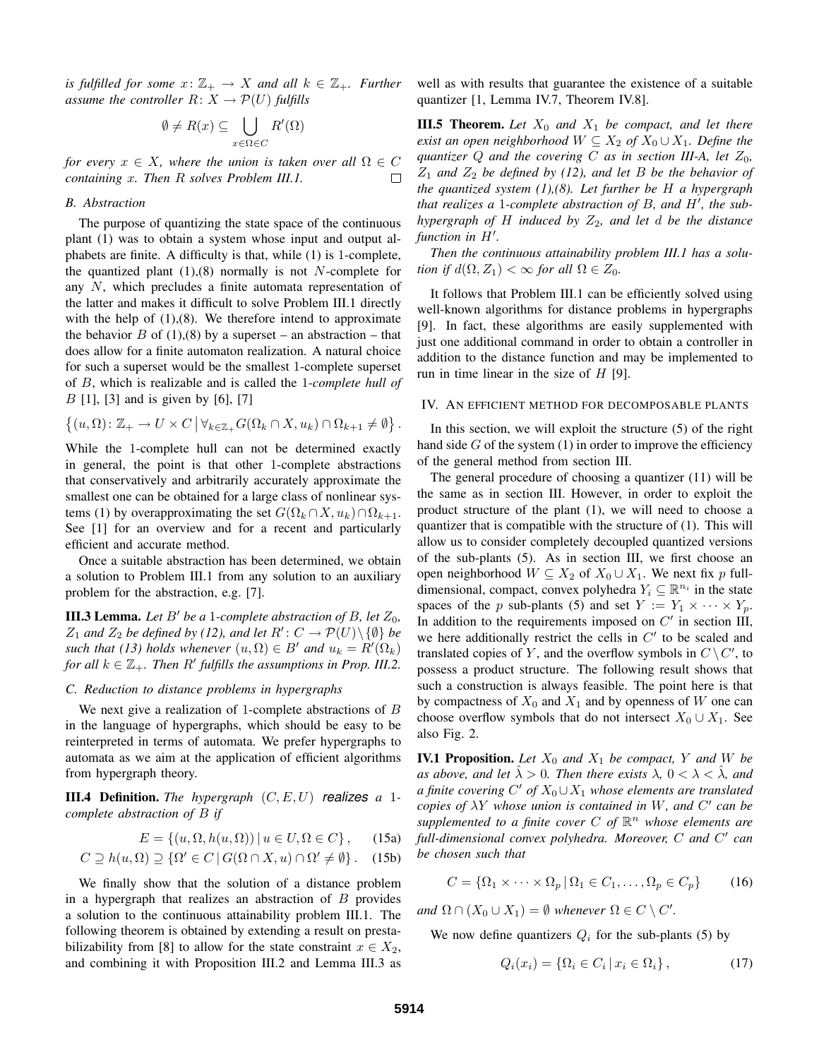*is fulfilled for some*  $x: \mathbb{Z}_+ \to X$  *and all*  $k \in \mathbb{Z}_+$ *. Further assume the controller*  $R: X \to \mathcal{P}(U)$  *fulfills* 

$$
\emptyset \neq R(x) \subseteq \bigcup_{x \in \Omega \in C} R'(\Omega)
$$

*for every*  $x \in X$ *, where the union is taken over all*  $\Omega \in C$  $\Box$ *containing* x*. Then* R *solves Problem III.1.*

#### *B. Abstraction*

The purpose of quantizing the state space of the continuous plant (1) was to obtain a system whose input and output alphabets are finite. A difficulty is that, while (1) is 1-complete, the quantized plant  $(1),(8)$  normally is not N-complete for any N, which precludes a finite automata representation of the latter and makes it difficult to solve Problem III.1 directly with the help of  $(1),(8)$ . We therefore intend to approximate the behavior B of  $(1)$ , $(8)$  by a superset – an abstraction – that does allow for a finite automaton realization. A natural choice for such a superset would be the smallest 1-complete superset of B, which is realizable and is called the 1*-complete hull of*  $B$  [1], [3] and is given by [6], [7]

$$
\left\{(u,\Omega)\colon \mathbb{Z}_+\to U\times C\,\big|\,\forall_{k\in\mathbb{Z}_+}G(\Omega_k\cap X,u_k)\cap\Omega_{k+1}\neq\emptyset\right\}.
$$

While the 1-complete hull can not be determined exactly in general, the point is that other 1-complete abstractions that conservatively and arbitrarily accurately approximate the smallest one can be obtained for a large class of nonlinear systems (1) by overapproximating the set  $G(\Omega_k \cap X, u_k) \cap \Omega_{k+1}$ . See [1] for an overview and for a recent and particularly efficient and accurate method.

Once a suitable abstraction has been determined, we obtain a solution to Problem III.1 from any solution to an auxiliary problem for the abstraction, e.g. [7].

**III.3 Lemma.** Let  $B'$  be a 1*-complete abstraction of*  $B$ *, let*  $Z_0$ *,*  $Z_1$  *and*  $Z_2$  *be defined by* (12), *and let*  $R' : C \to \mathcal{P}(U) \setminus \{\emptyset\}$  *be such that* (13) *holds whenever*  $(u, \Omega) \in B'$  *and*  $u_k = R'(\Omega_k)$ *for all*  $k \in \mathbb{Z}_+$ *. Then*  $R'$  *fulfills the assumptions in Prop. III.2.* 

### *C. Reduction to distance problems in hypergraphs*

We next give a realization of 1-complete abstractions of  $B$ in the language of hypergraphs, which should be easy to be reinterpreted in terms of automata. We prefer hypergraphs to automata as we aim at the application of efficient algorithms from hypergraph theory.

**III.4 Definition.** *The hypergraph* (C, E,U) realizes *a* 1 *complete abstraction of* B *if*

$$
E = \{(u, \Omega, h(u, \Omega)) \mid u \in U, \Omega \in C\},\qquad(15a)
$$

$$
C \supseteq h(u, \Omega) \supseteq \{ \Omega' \in C \, | \, G(\Omega \cap X, u) \cap \Omega' \neq \emptyset \}. \quad (15b)
$$

We finally show that the solution of a distance problem in a hypergraph that realizes an abstraction of  $B$  provides a solution to the continuous attainability problem III.1. The following theorem is obtained by extending a result on prestabilizability from [8] to allow for the state constraint  $x \in X_2$ , and combining it with Proposition III.2 and Lemma III.3 as well as with results that guarantee the existence of a suitable quantizer [1, Lemma IV.7, Theorem IV.8].

**III.5 Theorem.** Let  $X_0$  and  $X_1$  be compact, and let there *exist an open neighborhood*  $W \subseteq X_2$  *of*  $X_0 \cup X_1$ *. Define the quantizer*  $Q$  *and the covering*  $C$  *as in section III-A, let*  $Z_0$ *,*  $Z_1$  *and*  $Z_2$  *be defined by* (12), *and let* B *be the behavior of the quantized system (1),(8). Let further be* H *a hypergraph that realizes a* 1*-complete abstraction of* B*, and* H′ *, the subhypergraph of*  $H$  *induced by*  $Z_2$ *, and let d be the distance function in* H′ *.*

*Then the continuous attainability problem III.1 has a solution if*  $d(\Omega, Z_1) < \infty$  *for all*  $\Omega \in Z_0$ *.* 

It follows that Problem III.1 can be efficiently solved using well-known algorithms for distance problems in hypergraphs [9]. In fact, these algorithms are easily supplemented with just one additional command in order to obtain a controller in addition to the distance function and may be implemented to run in time linear in the size of  $H$  [9].

#### IV. AN EFFICIENT METHOD FOR DECOMPOSABLE PLANTS

In this section, we will exploit the structure (5) of the right hand side  $G$  of the system  $(1)$  in order to improve the efficiency of the general method from section III.

The general procedure of choosing a quantizer (11) will be the same as in section III. However, in order to exploit the product structure of the plant (1), we will need to choose a quantizer that is compatible with the structure of (1). This will allow us to consider completely decoupled quantized versions of the sub-plants (5). As in section III, we first choose an open neighborhood  $W \subseteq X_2$  of  $X_0 \cup X_1$ . We next fix p fulldimensional, compact, convex polyhedra  $Y_i \subseteq \mathbb{R}^{n_i}$  in the state spaces of the p sub-plants (5) and set  $Y := Y_1 \times \cdots \times Y_p$ . In addition to the requirements imposed on  $C'$  in section III, we here additionally restrict the cells in  $C'$  to be scaled and translated copies of Y, and the overflow symbols in  $C \setminus C'$ , to possess a product structure. The following result shows that such a construction is always feasible. The point here is that by compactness of  $X_0$  and  $X_1$  and by openness of W one can choose overflow symbols that do not intersect  $X_0 \cup X_1$ . See also Fig. 2.

**IV.1 Proposition.** Let  $X_0$  and  $X_1$  be compact, Y and W be *as above, and let*  $\hat{\lambda} > 0$ *. Then there exists*  $\lambda$ ,  $0 < \lambda < \hat{\lambda}$ *, and a finite covering*  $C'$  *of*  $X_0 \cup X_1$  *whose elements are translated copies of* λY *whose union is contained in* W*, and* C ′ *can be supplemented to a finite cover* C *of* R <sup>n</sup> *whose elements are full-dimensional convex polyhedra. Moreover,* C *and* C ′ *can be chosen such that*

$$
C = \{ \Omega_1 \times \cdots \times \Omega_p \, | \, \Omega_1 \in C_1, \ldots, \Omega_p \in C_p \} \tag{16}
$$

*and*  $\Omega \cap (X_0 \cup X_1) = \emptyset$  *whenever*  $\Omega \in C \setminus C'$ *.* 

We now define quantizers  $Q_i$  for the sub-plants (5) by

$$
Q_i(x_i) = \{ \Omega_i \in C_i \, | \, x_i \in \Omega_i \},\tag{17}
$$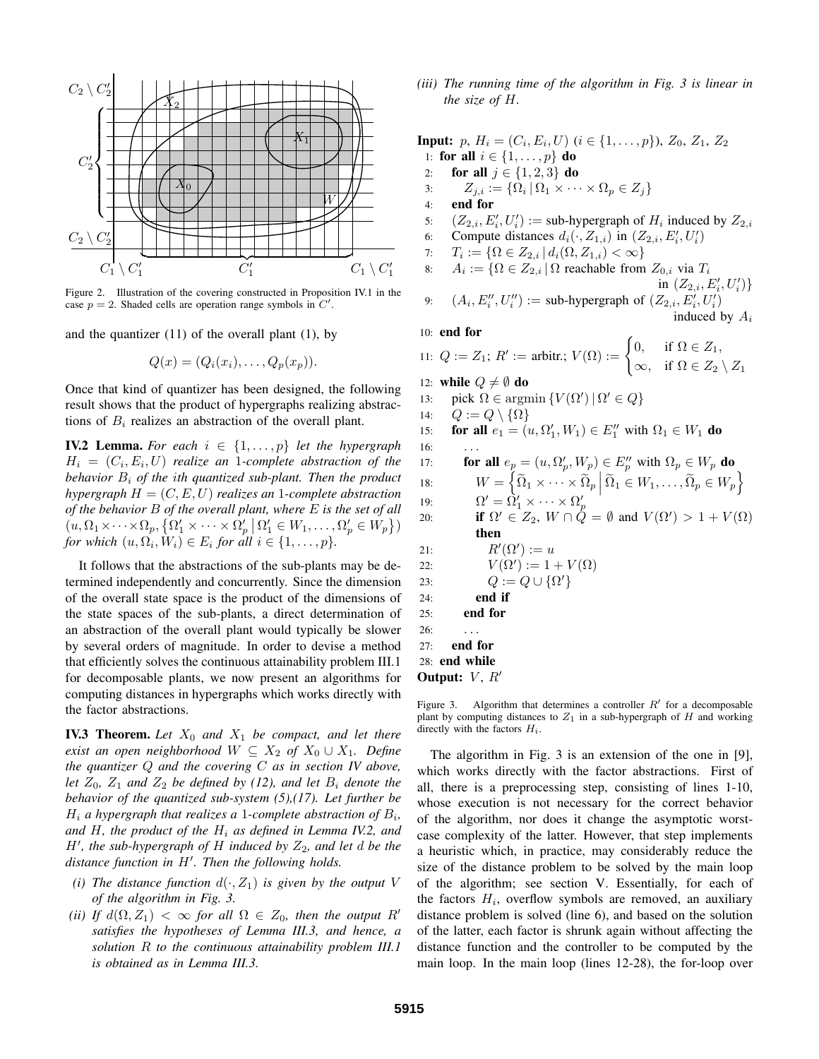

Figure 2. Illustration of the covering constructed in Proposition IV.1 in the case  $p = 2$ . Shaded cells are operation range symbols in  $C'$ .

and the quantizer  $(11)$  of the overall plant  $(1)$ , by

$$
Q(x) = (Q_i(x_i), \ldots, Q_p(x_p)).
$$

Once that kind of quantizer has been designed, the following result shows that the product of hypergraphs realizing abstractions of  $B_i$  realizes an abstraction of the overall plant.

**IV.2 Lemma.** For each  $i \in \{1, \ldots, p\}$  let the hypergraph  $H_i = (C_i, E_i, U)$  realize an 1-complete abstraction of the *behavior* B<sup>i</sup> *of the* i*th quantized sub-plant. Then the product hypergraph*  $H = (C, E, U)$  *realizes an* 1-complete *abstraction of the behavior* B *of the overall plant, where* E *is the set of all*  $(u, \Omega_1 \times \cdots \times \Omega_p, {\{\Omega'_1 \times \cdots \times \Omega'_p \mid \Omega'_1 \in W_1, \ldots, \Omega'_p \in W_p \})$ *for* which  $(u, \Omega_i, W_i) \in E_i$  *for all*  $i \in \{1, \ldots, p\}$ *.* 

It follows that the abstractions of the sub-plants may be determined independently and concurrently. Since the dimension of the overall state space is the product of the dimensions of the state spaces of the sub-plants, a direct determination of an abstraction of the overall plant would typically be slower by several orders of magnitude. In order to devise a method that efficiently solves the continuous attainability problem III.1 for decomposable plants, we now present an algorithms for computing distances in hypergraphs which works directly with the factor abstractions.

**IV.3 Theorem.** Let  $X_0$  and  $X_1$  be compact, and let there *exist an open neighborhood*  $W \subseteq X_2$  *of*  $X_0 \cup X_1$ *. Define the quantizer* Q *and the covering* C *as in section IV above, let*  $Z_0$ ,  $Z_1$  *and*  $Z_2$  *be defined by* (12), *and let*  $B_i$  *denote the behavior of the quantized sub-system (5),(17). Let further be*  $H_i$  a hypergraph that realizes a 1-complete abstraction of  $B_i$ , and  $H$ , the product of the  $H_i$  as defined in Lemma IV.2, and  $H'$ , the sub-hypergraph of  $H$  *induced by*  $Z_2$ , and let  $d$  be the *distance function in* H′ *. Then the following holds.*

- *(i) The distance function*  $d(\cdot, Z_1)$  *is given by the output V of the algorithm in Fig. 3.*
- *(ii)* If  $d(\Omega, Z_1) < \infty$  *for all*  $\Omega \in Z_0$ *, then the output* R' *satisfies the hypotheses of Lemma III.3, and hence, a solution* R *to the continuous attainability problem III.1 is obtained as in Lemma III.3.*

*(iii) The running time of the algorithm in Fig. 3 is linear in the size of* H*.*

**Input:**  $p, H_i = (C_i, E_i, U)$  ( $i \in \{1, \ldots, p\}$ ),  $Z_0, Z_1, Z_2$ 1: **for all**  $i \in \{1, ..., p\}$  **do** 2: **for all**  $j \in \{1, 2, 3\}$  **do** 3:  $Z_{j,i} := \{ \Omega_i \, | \, \Omega_1 \times \cdots \times \Omega_p \in Z_j \}$ 4: **end for** 5:  $(Z_{2,i}, E'_i, U'_i) := \text{sub-hypergraph of } H_i \text{ induced by } Z_{2,i}$ 6: Compute distances  $d_i(\cdot, Z_{1,i})$  in  $(Z_{2,i}, E'_i, U'_i)$ 7:  $T_i := \{ \Omega \in Z_{2,i} \, | \, d_i(\Omega, Z_{1,i}) < \infty \}$ 8:  $A_i := \{ \Omega \in Z_{2,i} \, | \, \Omega \text{ reachable from } Z_{0,i} \text{ via } T_i \}$ in  $(Z_{2,i}, E'_{i}, U'_{i})\}$ 9:  $(A_i, E_i'', U_i'') := \text{sub-hypergraph of } (Z_{2,i}, E_i', U_i')$ induced by  $A_i$ 10: **end for** 11:  $Q := Z_1$ ;  $R' :=$  arbitr.;  $V(\Omega) :=$  $\int 0$ , if  $\Omega \in Z_1$ ,  $\infty$ , if  $\Omega \in Z_2 \setminus Z_1$ 12: **while**  $Q \neq \emptyset$  **do** 13: pick  $\Omega \in \text{argmin} \{ V(\Omega') \, | \, \Omega' \in Q \}$ 14:  $Q := Q \setminus {\Omega}$ 15: **for all**  $e_1 = (u, \Omega'_1, W_1) \in E''_1$  with  $\Omega_1 \in W_1$  **do** 16: 17: **for all**  $e_p = (u, \Omega'_p, W_p) \in E''_p$  with  $\Omega_p \in W_p$  **do** 18:  $W = \left\{ \widetilde{\Omega}_1 \times \cdots \times \widetilde{\Omega}_p \middle| \widetilde{\Omega}_1 \in W_1, \ldots, \widetilde{\Omega}_p \in W_p \right\}$ 19:  $\Omega' = \Omega'_1 \times \cdots \times \Omega'_p$ <br>
20: **if**  $\Omega' \in Z_2$ ,  $W \cap Q = \emptyset$  and  $V(\Omega') > 1 + V(\Omega)$ **then** 21:  $R'(\Omega') := u$ 22:  $V(\Omega') := 1 + V(\Omega)$ 23:  $Q := Q \cup {\Omega'}$ 24: **end if** 25: **end for**  $26: \quad . . .$ 27: **end for** 28: **end while Output:**  $V, R'$ Figure 3. Algorithm that determines a controller  $R'$  for a decomposable

plant by computing distances to  $Z_1$  in a sub-hypergraph of  $H$  and working directly with the factors  $H_i$ .

The algorithm in Fig. 3 is an extension of the one in [9], which works directly with the factor abstractions. First of all, there is a preprocessing step, consisting of lines 1-10, whose execution is not necessary for the correct behavior of the algorithm, nor does it change the asymptotic worstcase complexity of the latter. However, that step implements a heuristic which, in practice, may considerably reduce the size of the distance problem to be solved by the main loop of the algorithm; see section V. Essentially, for each of the factors  $H_i$ , overflow symbols are removed, an auxiliary distance problem is solved (line 6), and based on the solution of the latter, each factor is shrunk again without affecting the distance function and the controller to be computed by the main loop. In the main loop (lines 12-28), the for-loop over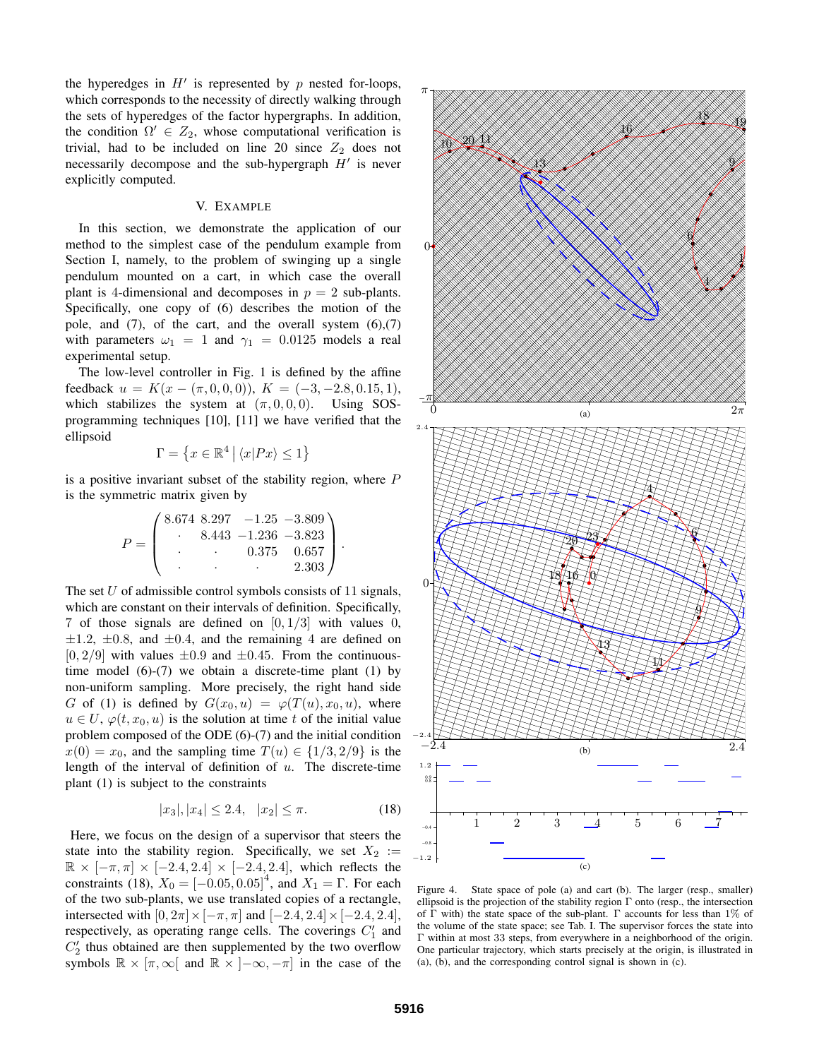the hyperedges in  $H'$  is represented by  $p$  nested for-loops, which corresponds to the necessity of directly walking through the sets of hyperedges of the factor hypergraphs. In addition, the condition  $\Omega' \in Z_2$ , whose computational verification is trivial, had to be included on line 20 since  $Z_2$  does not necessarily decompose and the sub-hypergraph  $H'$  is never explicitly computed.

## V. EXAMPLE

In this section, we demonstrate the application of our method to the simplest case of the pendulum example from Section I, namely, to the problem of swinging up a single pendulum mounted on a cart, in which case the overall plant is 4-dimensional and decomposes in  $p = 2$  sub-plants. Specifically, one copy of (6) describes the motion of the pole, and  $(7)$ , of the cart, and the overall system  $(6)$ , $(7)$ with parameters  $\omega_1 = 1$  and  $\gamma_1 = 0.0125$  models a real experimental setup.

The low-level controller in Fig. 1 is defined by the affine feedback  $u = K(x - (\pi, 0, 0, 0))$ ,  $K = (-3, -2.8, 0.15, 1)$ , which stabilizes the system at  $(\pi, 0, 0, 0)$ . Using SOSprogramming techniques [10], [11] we have verified that the ellipsoid

$$
\Gamma=\left\{x\in\mathbb{R}^4\,\big|\,\langle x|Px\rangle\leq 1\right\}
$$

is a positive invariant subset of the stability region, where  $P$ is the symmetric matrix given by

$$
P = \begin{pmatrix} 8.674 & 8.297 & -1.25 & -3.809 \\ 8.443 & -1.236 & -3.823 \\ . & . & 0.375 & 0.657 \\ . & . & . & 2.303 \end{pmatrix}.
$$

The set  $U$  of admissible control symbols consists of 11 signals, which are constant on their intervals of definition. Specifically, 7 of those signals are defined on  $[0, 1/3]$  with values 0,  $\pm 1.2$ ,  $\pm 0.8$ , and  $\pm 0.4$ , and the remaining 4 are defined on  $[0, 2/9]$  with values  $\pm 0.9$  and  $\pm 0.45$ . From the continuoustime model  $(6)-(7)$  we obtain a discrete-time plant  $(1)$  by non-uniform sampling. More precisely, the right hand side G of (1) is defined by  $G(x_0, u) = \varphi(T(u), x_0, u)$ , where  $u \in U$ ,  $\varphi(t, x_0, u)$  is the solution at time t of the initial value problem composed of the ODE (6)-(7) and the initial condition  $x(0) = x_0$ , and the sampling time  $T(u) \in \{1/3, 2/9\}$  is the length of the interval of definition of  $u$ . The discrete-time plant (1) is subject to the constraints

$$
|x_3|, |x_4| \le 2.4, \quad |x_2| \le \pi. \tag{18}
$$

Here, we focus on the design of a supervisor that steers the state into the stability region. Specifically, we set  $X_2 :=$  $\mathbb{R} \times [-\pi, \pi] \times [-2.4, 2.4] \times [-2.4, 2.4]$ , which reflects the constraints (18),  $X_0 = [-0.05, 0.05]^4$ , and  $X_1 = \Gamma$ . For each of the two sub-plants, we use translated copies of a rectangle, intersected with  $[0, 2\pi] \times [-\pi, \pi]$  and  $[-2.4, 2.4] \times [-2.4, 2.4]$ , respectively, as operating range cells. The coverings  $C'_1$  and  $C'_2$  thus obtained are then supplemented by the two overflow symbols  $\mathbb{R} \times [\pi, \infty]$  and  $\mathbb{R} \times ]-\infty, -\pi]$  in the case of the



Figure 4. State space of pole (a) and cart (b). The larger (resp., smaller) ellipsoid is the projection of the stability region  $\Gamma$  onto (resp., the intersection of  $\Gamma$  with) the state space of the sub-plant.  $\Gamma$  accounts for less than 1% of the volume of the state space; see Tab. I. The supervisor forces the state into Γ within at most 33 steps, from everywhere in a neighborhood of the origin. One particular trajectory, which starts precisely at the origin, is illustrated in (a), (b), and the corresponding control signal is shown in (c).